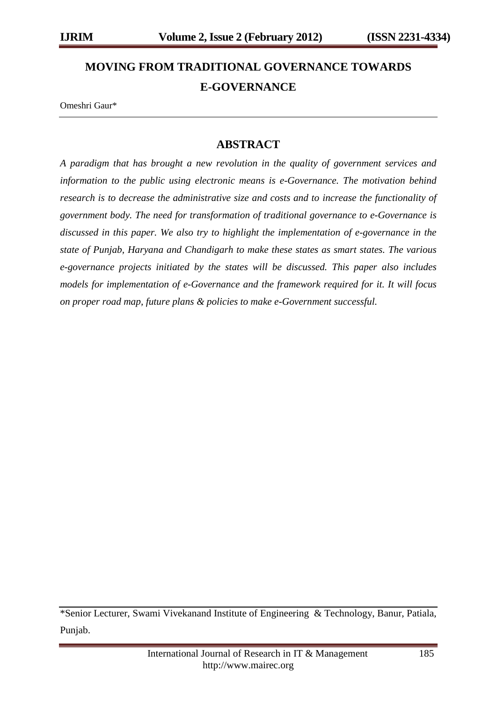# **MOVING FROM TRADITIONAL GOVERNANCE TOWARDS E-GOVERNANCE**

Omeshri Gaur\*

## **ABSTRACT**

*A paradigm that has brought a new revolution in the quality of government services and information to the public using electronic means is e-Governance. The motivation behind research is to decrease the administrative size and costs and to increase the functionality of government body. The need for transformation of traditional governance to e-Governance is discussed in this paper. We also try to highlight the implementation of e-governance in the state of Punjab, Haryana and Chandigarh to make these states as smart states. The various e-governance projects initiated by the states will be discussed. This paper also includes models for implementation of e-Governance and the framework required for it. It will focus on proper road map, future plans & policies to make e-Government successful.* 

<sup>\*</sup>Senior Lecturer, Swami Vivekanand Institute of Engineering & Technology, Banur, Patiala, Punjab.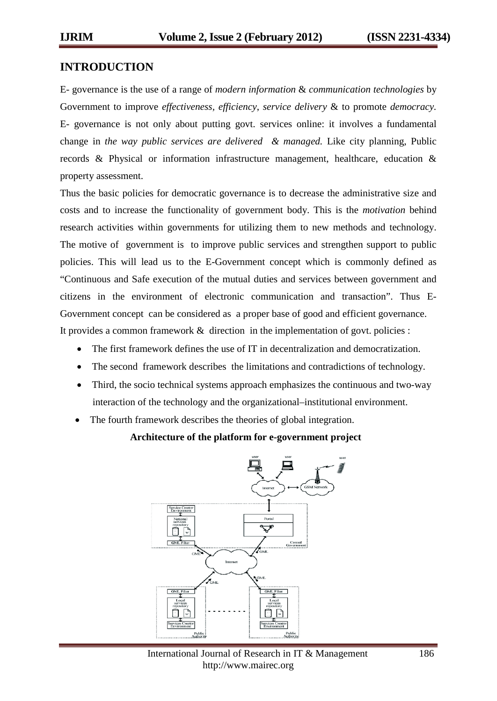#### **INTRODUCTION**

E- governance is the use of a range of *modern information* & *communication technologies* by Government to improve *effectiveness, efficiency*, *service delivery* & to promote *democracy.* E- governance is not only about putting govt. services online: it involves a fundamental change in *the way public services are delivered & managed.* Like city planning, Public records & Physical or information infrastructure management, healthcare, education & property assessment.

Thus the basic policies for democratic governance is to decrease the administrative size and costs and to increase the functionality of government body. This is the *motivation* behind research activities within governments for utilizing them to new methods and technology. The motive of government is to improve public services and strengthen support to public policies. This will lead us to the E-Government concept which is commonly defined as "Continuous and Safe execution of the mutual duties and services between government and citizens in the environment of electronic communication and transaction". Thus E-Government concept can be considered as a proper base of good and efficient governance. It provides a common framework & direction in the implementation of govt. policies :

- The first framework defines the use of IT in decentralization and democratization.
- The second framework describes the limitations and contradictions of technology.
- Third, the socio technical systems approach emphasizes the continuous and two-way interaction of the technology and the organizational–institutional environment.
- The fourth framework describes the theories of global integration.

#### **Architecture of the platform for e-government project**

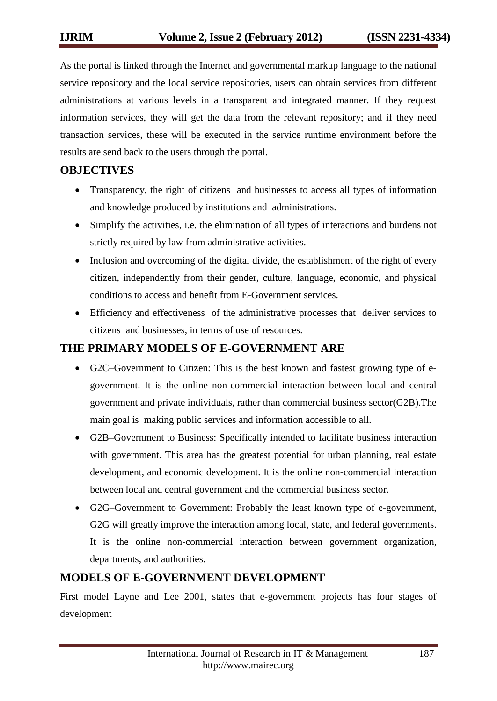As the portal is linked through the Internet and governmental markup language to the national service repository and the local service repositories, users can obtain services from different administrations at various levels in a transparent and integrated manner. If they request information services, they will get the data from the relevant repository; and if they need transaction services, these will be executed in the service runtime environment before the results are send back to the users through the portal.

## **OBJECTIVES**

- Transparency, the right of citizens and businesses to access all types of information and knowledge produced by institutions and administrations.
- Simplify the activities, i.e. the elimination of all types of interactions and burdens not strictly required by law from administrative activities.
- Inclusion and overcoming of the digital divide, the establishment of the right of every citizen, independently from their gender, culture, language, economic, and physical conditions to access and benefit from E-Government services.
- Efficiency and effectiveness of the administrative processes that deliver services to citizens and businesses, in terms of use of resources.

## **THE PRIMARY MODELS OF E-GOVERNMENT ARE**

- G2C–Government to Citizen: This is the best known and fastest growing type of egovernment. It is the online non-commercial interaction between local and central government and private individuals, rather than commercial business sector(G2B).The main goal is making public services and information accessible to all.
- G2B–Government to Business: Specifically intended to facilitate business interaction with government. This area has the greatest potential for urban planning, real estate development, and economic development. It is the online non-commercial interaction between local and central government and the commercial business sector.
- G2G–Government to Government: Probably the least known type of e-government, G2G will greatly improve the interaction among local, state, and federal governments. It is the online non-commercial interaction between government organization, departments, and authorities.

## **MODELS OF E-GOVERNMENT DEVELOPMENT**

First model Layne and Lee 2001, states that e-government projects has four stages of development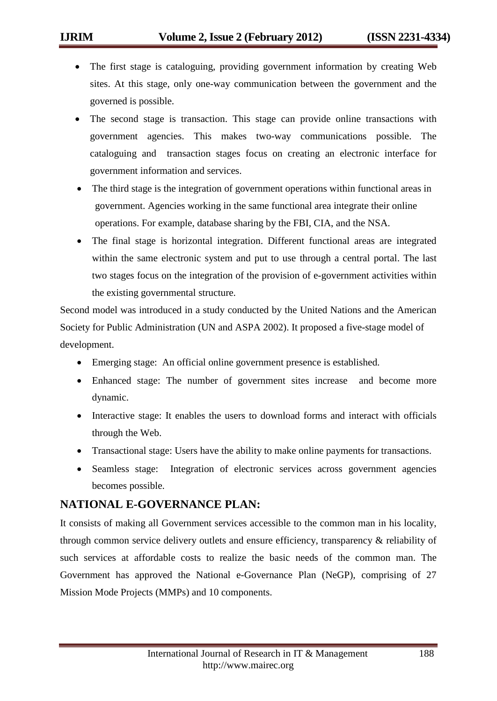- The first stage is cataloguing, providing government information by creating Web sites. At this stage, only one-way communication between the government and the governed is possible.
- The second stage is transaction. This stage can provide online transactions with government agencies. This makes two-way communications possible. The cataloguing and transaction stages focus on creating an electronic interface for government information and services.
- The third stage is the integration of government operations within functional areas in government. Agencies working in the same functional area integrate their online operations. For example, database sharing by the FBI, CIA, and the NSA.
- The final stage is horizontal integration. Different functional areas are integrated within the same electronic system and put to use through a central portal. The last two stages focus on the integration of the provision of e-government activities within the existing governmental structure.

Second model was introduced in a study conducted by the United Nations and the American Society for Public Administration (UN and ASPA 2002). It proposed a five-stage model of development.

- Emerging stage: An official online government presence is established.
- Enhanced stage: The number of government sites increase and become more dynamic.
- Interactive stage: It enables the users to download forms and interact with officials through the Web.
- Transactional stage: Users have the ability to make online payments for transactions.
- Seamless stage: Integration of electronic services across government agencies becomes possible.

## **NATIONAL E-GOVERNANCE PLAN:**

It consists of making all Government services accessible to the common man in his locality, through common service delivery outlets and ensure efficiency, transparency & reliability of such services at affordable costs to realize the basic needs of the common man. The Government has approved the National e-Governance Plan (NeGP), comprising of 27 Mission Mode Projects (MMPs) and 10 components.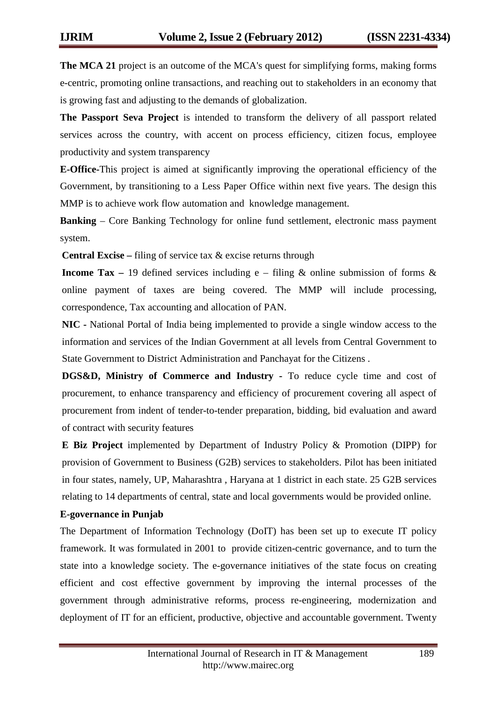**The MCA 21** project is an outcome of the MCA's quest for simplifying forms, making forms e-centric, promoting online transactions, and reaching out to stakeholders in an economy that is growing fast and adjusting to the demands of globalization.

**The Passport Seva Project** is intended to transform the delivery of all passport related services across the country, with accent on process efficiency, citizen focus, employee productivity and system transparency

**E-Office-**This project is aimed at significantly improving the operational efficiency of the Government, by transitioning to a Less Paper Office within next five years. The design this MMP is to achieve work flow automation and knowledge management.

**Banking** – Core Banking Technology for online fund settlement, electronic mass payment system.

**Central Excise** – filing of service tax & excise returns through

**Income Tax** – 19 defined services including e – filing  $\&$  online submission of forms  $\&$ online payment of taxes are being covered. The MMP will include processing, correspondence, Tax accounting and allocation of PAN.

**NIC -** National Portal of India being implemented to provide a single window access to the information and services of the Indian Government at all levels from Central Government to State Government to District Administration and Panchayat for the Citizens .

**DGS&D, Ministry of Commerce and Industry -** To reduce cycle time and cost of procurement, to enhance transparency and efficiency of procurement covering all aspect of procurement from indent of tender-to-tender preparation, bidding, bid evaluation and award of contract with security features

**E Biz Project** implemented by Department of Industry Policy & Promotion (DIPP) for provision of Government to Business (G2B) services to stakeholders. Pilot has been initiated in four states, namely, UP, Maharashtra , Haryana at 1 district in each state. 25 G2B services relating to 14 departments of central, state and local governments would be provided online.

#### **E-governance in Punjab**

The Department of Information Technology (DoIT) has been set up to execute IT policy framework. It was formulated in 2001 to provide citizen-centric governance, and to turn the state into a knowledge society. The e-governance initiatives of the state focus on creating efficient and cost effective government by improving the internal processes of the government through administrative reforms, process re-engineering, modernization and deployment of IT for an efficient, productive, objective and accountable government. Twenty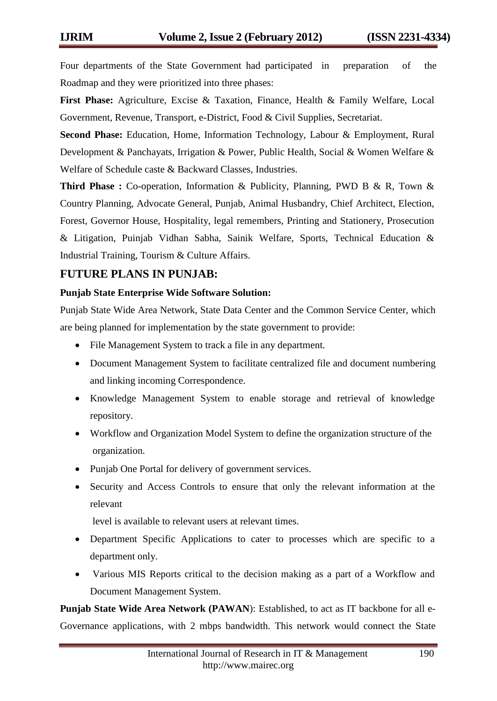Four departments of the State Government had participated in preparation of the Roadmap and they were prioritized into three phases:

**First Phase:** Agriculture, Excise & Taxation, Finance, Health & Family Welfare, Local Government, Revenue, Transport, e-District, Food & Civil Supplies, Secretariat.

**Second Phase:** Education, Home, Information Technology, Labour & Employment, Rural Development & Panchayats, Irrigation & Power, Public Health, Social & Women Welfare & Welfare of Schedule caste & Backward Classes, Industries.

**Third Phase :** Co-operation, Information & Publicity, Planning, PWD B & R, Town & Country Planning, Advocate General, Punjab, Animal Husbandry, Chief Architect, Election, Forest, Governor House, Hospitality, legal remembers, Printing and Stationery, Prosecution & Litigation, Puinjab Vidhan Sabha, Sainik Welfare, Sports, Technical Education & Industrial Training, Tourism & Culture Affairs.

## **FUTURE PLANS IN PUNJAB:**

#### **Punjab State Enterprise Wide Software Solution:**

Punjab State Wide Area Network, State Data Center and the Common Service Center, which are being planned for implementation by the state government to provide:

- File Management System to track a file in any department.
- Document Management System to facilitate centralized file and document numbering and linking incoming Correspondence.
- Knowledge Management System to enable storage and retrieval of knowledge repository.
- Workflow and Organization Model System to define the organization structure of the organization.
- Punjab One Portal for delivery of government services.
- Security and Access Controls to ensure that only the relevant information at the relevant

level is available to relevant users at relevant times.

- Department Specific Applications to cater to processes which are specific to a department only.
- Various MIS Reports critical to the decision making as a part of a Workflow and Document Management System.

**Punjab State Wide Area Network (PAWAN**): Established, to act as IT backbone for all e-Governance applications, with 2 mbps bandwidth. This network would connect the State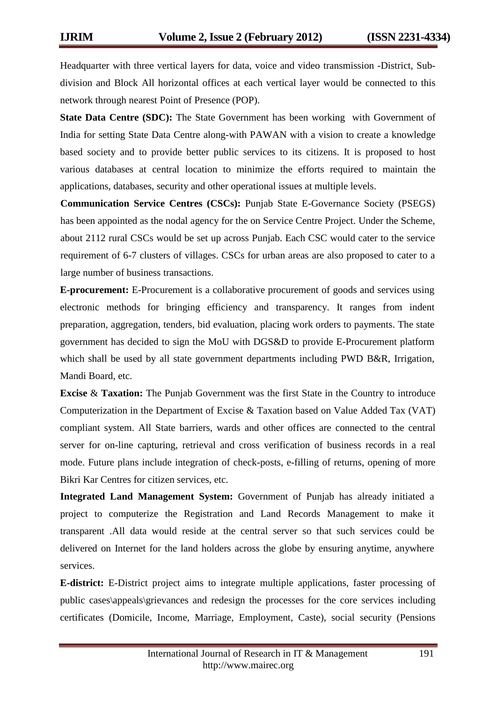Headquarter with three vertical layers for data, voice and video transmission -District, Subdivision and Block All horizontal offices at each vertical layer would be connected to this network through nearest Point of Presence (POP).

**State Data Centre (SDC):** The State Government has been working with Government of India for setting State Data Centre along-with PAWAN with a vision to create a knowledge based society and to provide better public services to its citizens. It is proposed to host various databases at central location to minimize the efforts required to maintain the applications, databases, security and other operational issues at multiple levels.

**Communication Service Centres (CSCs):** Punjab State E-Governance Society (PSEGS) has been appointed as the nodal agency for the on Service Centre Project. Under the Scheme, about 2112 rural CSCs would be set up across Punjab. Each CSC would cater to the service requirement of 6-7 clusters of villages. CSCs for urban areas are also proposed to cater to a large number of business transactions.

**E-procurement:** E-Procurement is a collaborative procurement of goods and services using electronic methods for bringing efficiency and transparency. It ranges from indent preparation, aggregation, tenders, bid evaluation, placing work orders to payments. The state government has decided to sign the MoU with DGS&D to provide E-Procurement platform which shall be used by all state government departments including PWD B&R, Irrigation, Mandi Board, etc.

**Excise** & **Taxation:** The Punjab Government was the first State in the Country to introduce Computerization in the Department of Excise & Taxation based on Value Added Tax (VAT) compliant system. All State barriers, wards and other offices are connected to the central server for on-line capturing, retrieval and cross verification of business records in a real mode. Future plans include integration of check-posts, e-filling of returns, opening of more Bikri Kar Centres for citizen services, etc.

**Integrated Land Management System:** Government of Punjab has already initiated a project to computerize the Registration and Land Records Management to make it transparent .All data would reside at the central server so that such services could be delivered on Internet for the land holders across the globe by ensuring anytime, anywhere services.

**E-district:** E-District project aims to integrate multiple applications, faster processing of public cases\appeals\grievances and redesign the processes for the core services including certificates (Domicile, Income, Marriage, Employment, Caste), social security (Pensions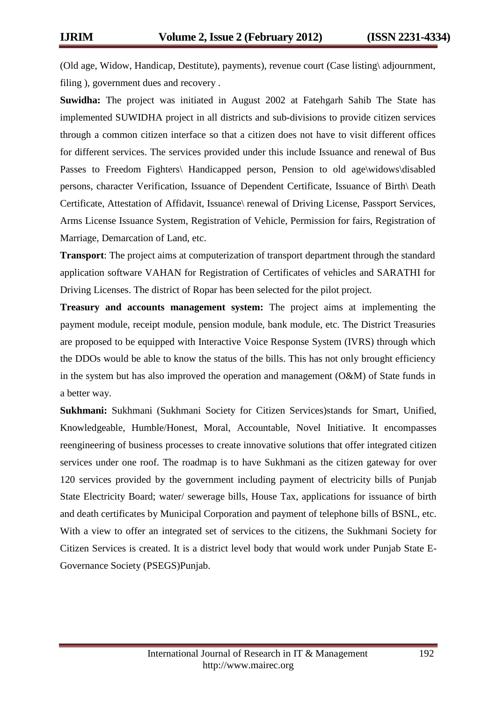(Old age, Widow, Handicap, Destitute), payments), revenue court (Case listing\ adjournment, filing ), government dues and recovery .

**Suwidha:** The project was initiated in August 2002 at Fatehgarh Sahib The State has implemented SUWIDHA project in all districts and sub-divisions to provide citizen services through a common citizen interface so that a citizen does not have to visit different offices for different services. The services provided under this include Issuance and renewal of Bus Passes to Freedom Fighters\ Handicapped person, Pension to old age\widows\disabled persons, character Verification, Issuance of Dependent Certificate, Issuance of Birth\ Death Certificate, Attestation of Affidavit, Issuance\ renewal of Driving License, Passport Services, Arms License Issuance System, Registration of Vehicle, Permission for fairs, Registration of Marriage, Demarcation of Land, etc.

**Transport**: The project aims at computerization of transport department through the standard application software VAHAN for Registration of Certificates of vehicles and SARATHI for Driving Licenses. The district of Ropar has been selected for the pilot project.

**Treasury and accounts management system:** The project aims at implementing the payment module, receipt module, pension module, bank module, etc. The District Treasuries are proposed to be equipped with Interactive Voice Response System (IVRS) through which the DDOs would be able to know the status of the bills. This has not only brought efficiency in the system but has also improved the operation and management (O&M) of State funds in a better way.

**Sukhmani:** Sukhmani (Sukhmani Society for Citizen Services)stands for Smart, Unified, Knowledgeable, Humble/Honest, Moral, Accountable, Novel Initiative. It encompasses reengineering of business processes to create innovative solutions that offer integrated citizen services under one roof. The roadmap is to have Sukhmani as the citizen gateway for over 120 services provided by the government including payment of electricity bills of Punjab State Electricity Board; water/ sewerage bills, House Tax, applications for issuance of birth and death certificates by Municipal Corporation and payment of telephone bills of BSNL, etc. With a view to offer an integrated set of services to the citizens, the Sukhmani Society for Citizen Services is created. It is a district level body that would work under Punjab State E-Governance Society (PSEGS)Punjab.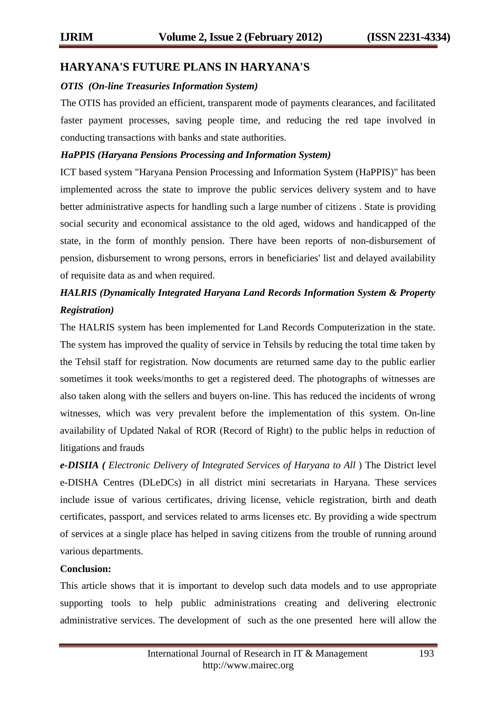## **HARYANA'S FUTURE PLANS IN HARYANA'S**

#### *OTIS (On-line Treasuries Information System)*

The OTIS has provided an efficient, transparent mode of payments clearances, and facilitated faster payment processes, saving people time, and reducing the red tape involved in conducting transactions with banks and state authorities.

#### *HaPPIS (Haryana Pensions Processing and Information System)*

ICT based system "Haryana Pension Processing and Information System (HaPPIS)" has been implemented across the state to improve the public services delivery system and to have better administrative aspects for handling such a large number of citizens . State is providing social security and economical assistance to the old aged, widows and handicapped of the state, in the form of monthly pension. There have been reports of non-disbursement of pension, disbursement to wrong persons, errors in beneficiaries' list and delayed availability of requisite data as and when required.

# *HALRIS (Dynamically Integrated Haryana Land Records Information System & Property Registration)*

The HALRIS system has been implemented for Land Records Computerization in the state. The system has improved the quality of service in Tehsils by reducing the total time taken by the Tehsil staff for registration. Now documents are returned same day to the public earlier sometimes it took weeks/months to get a registered deed. The photographs of witnesses are also taken along with the sellers and buyers on-line. This has reduced the incidents of wrong witnesses, which was very prevalent before the implementation of this system. On-line availability of Updated Nakal of ROR (Record of Right) to the public helps in reduction of litigations and frauds

*e-DISIIA ( Electronic Delivery of Integrated Services of Haryana to All* ) The District level e-DISHA Centres (DLeDCs) in all district mini secretariats in Haryana. These services include issue of various certificates, driving license, vehicle registration, birth and death certificates, passport, and services related to arms licenses etc. By providing a wide spectrum of services at a single place has helped in saving citizens from the trouble of running around various departments.

#### **Conclusion:**

This article shows that it is important to develop such data models and to use appropriate supporting tools to help public administrations creating and delivering electronic administrative services. The development of such as the one presented here will allow the